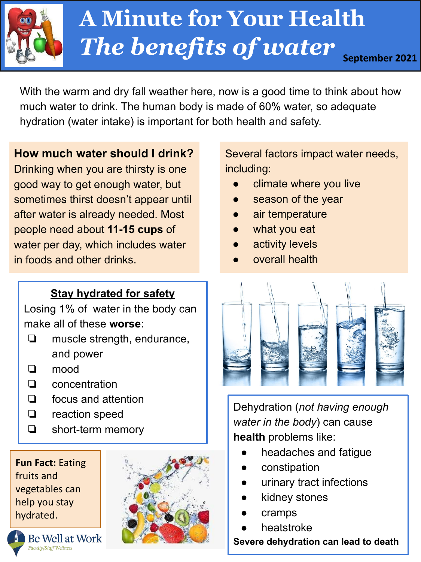

# **WU** *The benefits of water* **September 2021 A Minute for Your Health**

With the warm and dry fall weather here, now is a good time to think about how much water to drink. The human body is made of 60% water, so adequate hydration (water intake) is important for both health and safety.

**How much water should I drink?**

Drinking when you are thirsty is one good way to get enough water, but sometimes thirst doesn't appear until after water is already needed. Most people need about **11-15 cups** of water per day, which includes water in foods and other drinks.

## **Stay hydrated for safety**

Losing 1% of water in the body can make all of these **worse**:

- ❏ muscle strength, endurance, and power
- ❏ mood
- ❏ concentration
- ❏ focus and attention
- ❏ reaction speed
- ❏ short-term memory

**Fun Fact:** Eating fruits and vegetables can help you stay hydrated.



Several factors impact water needs, including:

- climate where you live
- season of the year
- air temperature
- what you eat
- activity levels
- overall health



Dehydration (*not having enough water in the body*) can cause **health** problems like:

- headaches and fatique
- constipation
- urinary tract infections
- kidney stones
- cramps
- heatstroke

**Severe dehydration can lead to death**

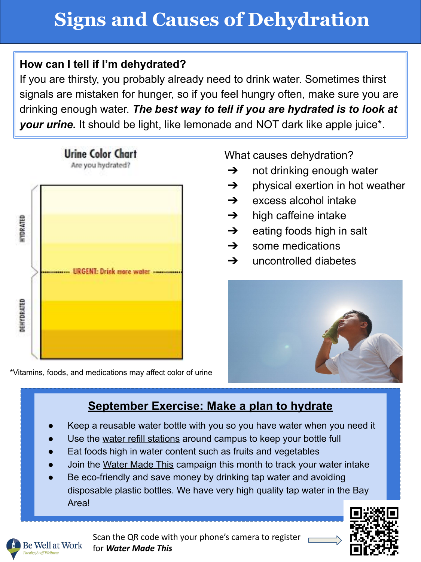### **How can I tell if I'm dehydrated?**

If you are thirsty, you probably already need to drink water. Sometimes thirst signals are mistaken for hunger, so if you feel hungry often, make sure you are drinking enough water. *The best way to tell if you are hydrated is to look at your urine.* It should be light, like lemonade and NOT dark like apple juice\*.



\*Vitamins, foods, and medications may affect color of urine

What causes dehydration?

- $\rightarrow$  not drinking enough water
- $\rightarrow$  physical exertion in hot weather
- $\rightarrow$  excess alcohol intake
- $\rightarrow$  high caffeine intake
- $\rightarrow$  eating foods high in salt
- $\rightarrow$  some medications
- $\rightarrow$  uncontrolled diabetes



# **September Exercise: Make a plan to hydrate**

- Keep a reusable water bottle with you so you have water when you need it
- Use the [water refill stations](https://food.berkeley.edu/foodscape/geographic-map/) around campus to keep your bottle full
- Eat foods high in water content such as fruits and vegetables
- Join the [Water Made This](https://www.surveymonkey.com/r/VWVW36B) campaign this month to track your water intake
- Be eco-friendly and save money by drinking tap water and avoiding disposable plastic bottles. We have very high quality tap water in the Bay Area!





Scan the QR code with your phone's camera to register for *Water Made This*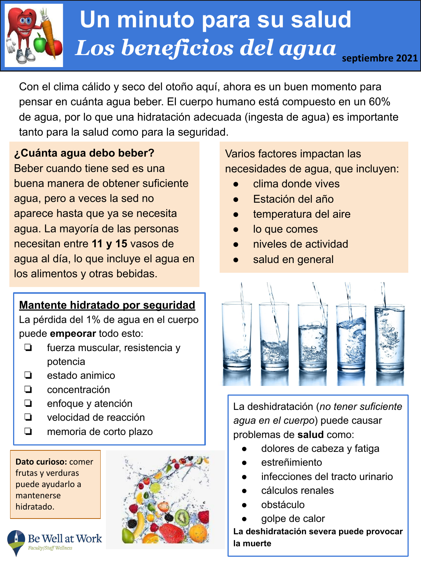

# $\boldsymbol{\mathcal{H}}$   $\boldsymbol{\mathcal{U}}$ 2016 *Los beneficios del agua* **septiembre 2021 Un minuto para su salud**

Con el clima cálido y seco del otoño aquí, ahora es un buen momento para pensar en cuánta agua beber. El cuerpo humano está compuesto en un 60% de agua, por lo que una hidratación adecuada (ingesta de agua) es importante tanto para la salud como para la seguridad.

### **¿Cuánta agua debo beber?**

Beber cuando tiene sed es una buena manera de obtener suficiente agua, pero a veces la sed no aparece hasta que ya se necesita agua. La mayoría de las personas necesitan entre **11 y 15** vasos de agua al día, lo que incluye el agua en los alimentos y otras bebidas.

## **Mantente hidratado por seguridad**

La pérdida del 1% de agua en el cuerpo puede **empeorar** todo esto:

- ❏ fuerza muscular, resistencia y potencia
- ❏ estado animico
- ❏ concentración
- ❏ enfoque y atención
- ❏ velocidad de reacción
- ❏ memoria de corto plazo

**Dato curioso:** comer frutas y verduras puede ayudarlo a mantenerse hidratado.

**Be Well at Work** 

aculty/Staff Wellness



Varios factores impactan las necesidades de agua, que incluyen:

- clima donde vives
- Estación del año
- temperatura del aire
- lo que comes
- niveles de actividad
- salud en general



La deshidratación (*no tener suficiente agua en el cuerpo*) puede causar problemas de **salud** como:

- dolores de cabeza y fatiga
- estreñimiento
- infecciones del tracto urinario
- cálculos renales
- obstáculo
- golpe de calor

**La deshidratación severa puede provocar la muerte**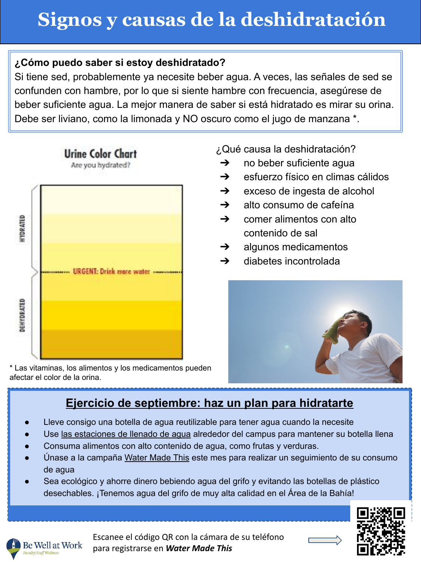# **Signos y causas de la deshidratación**

#### **¿Cómo puedo saber si estoy deshidratado?**

Si tiene sed, probablemente ya necesite beber agua. A veces, las señales de sed se confunden con hambre, por lo que si siente hambre con frecuencia, asegúrese de beber suficiente agua. La mejor manera de saber si está hidratado es mirar su orina. Debe ser liviano, como la limonada y NO oscuro como el jugo de manzana \*.



**Urine Color Chart** 

\* Las vitaminas, los alimentos y los medicamentos pueden afectar el color de la orina.

¿Qué causa la deshidratación?

- $\rightarrow$  no beber suficiente agua
- ➔ esfuerzo físico en climas cálidos
- $\rightarrow$  exceso de ingesta de alcohol
- $\rightarrow$  alto consumo de cafeína
- $\rightarrow$  comer alimentos con alto contenido de sal
- $\rightarrow$  algunos medicamentos
- $\rightarrow$  diabetes incontrolada



## **Ejercicio de septiembre: haz un plan para hidratarte**

- Lleve consigo una botella de agua reutilizable para tener agua cuando la necesite
- Use [las estaciones de llenado de agua](https://food.berkeley.edu/foodscape/geographic-map/) alrededor del campus para mantener su botella llena
- Consuma alimentos con alto contenido de agua, como frutas y verduras.
- Únase a la campaña [Water Made This](https://www.surveymonkey.com/r/VWVW36B) este mes para realizar un seguimiento de su consumo de agua
- Sea ecológico y ahorre dinero bebiendo agua del grifo y evitando las botellas de plástico desechables. ¡Tenemos agua del grifo de muy alta calidad en el Área de la Bahía!



Escanee el código QR con la cámara de su teléfono para registrarse en *Water Made This*

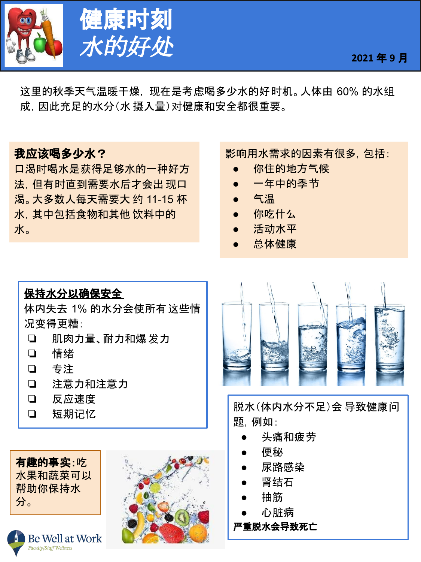



这里的秋季天气温暖干燥, 现在是考虑喝多少水的好时机。人体由 60% 的水组 成,因此充足的水分(水 摄入量)对健康和安全都很重要。

### 我应该喝多少水?

口渴时喝水是获得足够水的一种好方 法,但有时直到需要水后才会出现口 渴。大多数人每天需要大 约 11-15 杯 水,其中包括食物和其他 饮料中的 水。

#### 影响用水需求的因素有很多,包括:

- 你住的地方气候
- 一年中的季节
- 气温
- 你吃什么
- 活动水平
- 总体健康

# 保持水分以确保安全 体内失去 1% 的水分会使所有这些情 况变得更糟: ❏ 肌肉力量、耐力和爆发力 ❏ 情绪 ❏ 专注 ❏ 注意力和注意力 ❏ 反应速度 ❏ 短期记忆

有趣的事实:吃 水果和蔬菜可以 帮助你保持水 分。







脱水(体内水分不足)会 导致健康问 题,例如:

- 头痛和疲劳
- 便秘
- 尿路感染
- 肾结石
- 抽筋
- 心脏病

#### 严重脱水会导致死亡